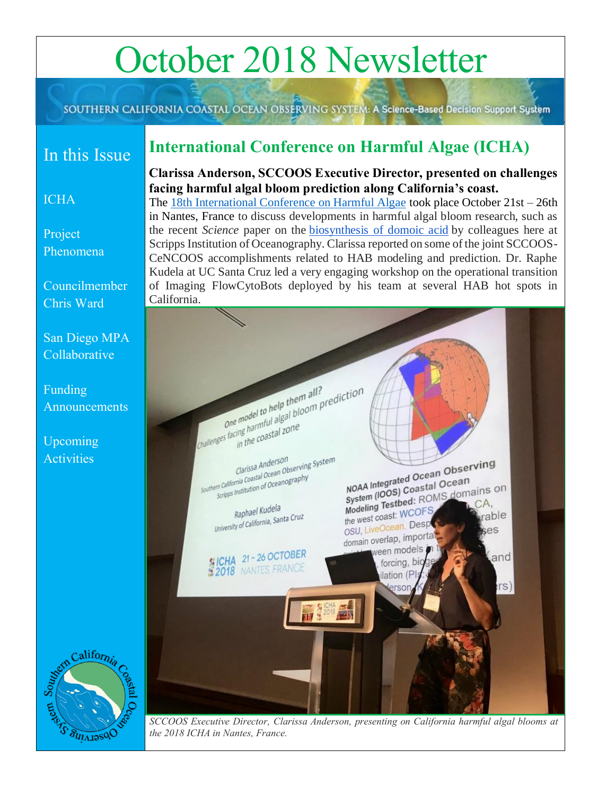# October 2018 Newsletter

SOUTHERN CALIFORNIA COASTAL OCEAN OBSERVING SYSTEM: A Science-Based Decision Support System

# In this Issue

# <span id="page-0-0"></span>**International Conference on Harmful Algae (ICHA)**

### **Clarissa Anderson, SCCOOS Executive Director, presented on challenges facing harmful algal bloom prediction along California's coast.**

# [Project](#page-1-0)

[Phenomena](#page-1-0)

**[ICHA](#page-0-0)** 

[Councilmember](#page-1-1) 

[Chris Ward](#page-1-1)

[San Diego MPA](#page-2-0)  [Collaborative](#page-2-0)

[Funding](#page-3-0)  [Announcements](#page-3-0)

[Upcoming](#page-3-1)  **[Activities](#page-3-1)** 

The [18th International Conference on Harmful Algae](https://www.icha2018.com/) took place October 21st – 26th in Nantes, France to discuss developments in harmful algal bloom research, such as the recent *Science* paper on the biosynthesis [of domoic acid](http://science.sciencemag.org/content/361/6409/1356/tab-figures-data) by colleagues here at Scripps Institution of Oceanography. Clarissa reported on some of the joint SCCOOS-CeNCOOS accomplishments related to HAB modeling and prediction. Dr. Raphe Kudela at UC Santa Cruz led a very engaging workshop on the operational transition of Imaging FlowCytoBots deployed by his team at several HAB hot spots in California.





California U<sub>ZGLAI</sub>N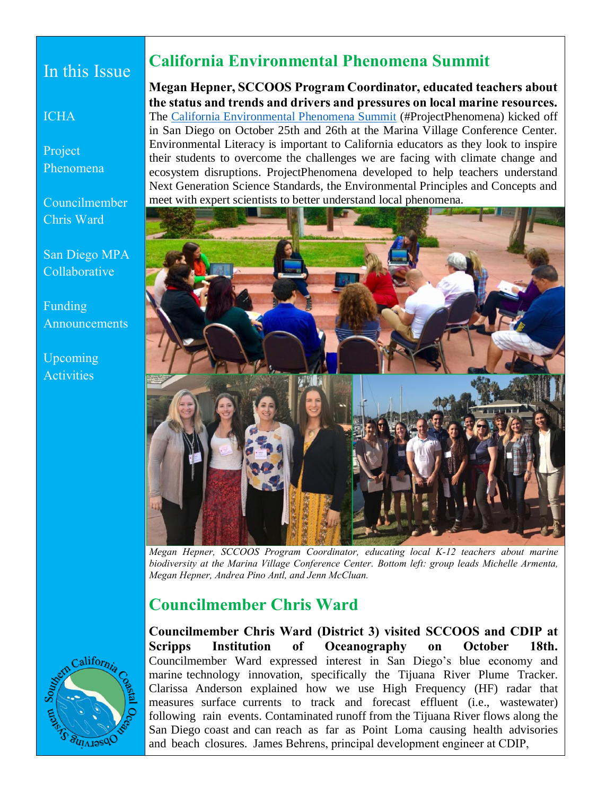# In this Issue

**[ICHA](#page-0-0)** 

[Project](#page-1-0)  [Phenomena](#page-1-0)

[Councilmember](#page-1-1)  [Chris Ward](#page-1-1)

[San Diego MPA](#page-2-0)  [Collaborative](#page-2-0)

[Funding](#page-3-0)  **[Announcements](#page-3-0)** 

[Upcoming](#page-3-1)  **[Activities](#page-3-1)** 

# <span id="page-1-0"></span>**California Environmental Phenomena Summit**

**Megan Hepner, SCCOOS Program Coordinator, educated teachers about the status and trends and drivers and pressures on local marine resources.** The [California Environmental Phenomena Summit](https://www.sdcoe.net/lls/ccr/Documents/esfd/ProjectPhenom_fly.pdf) (#ProjectPhenomena) kicked off in San Diego on October 25th and 26th at the Marina Village Conference Center. Environmental Literacy is important to California educators as they look to inspire their students to overcome the challenges we are facing with climate change and ecosystem disruptions. ProjectPhenomena developed to help teachers understand Next Generation Science Standards, the Environmental Principles and Concepts and meet with expert scientists to better understand local phenomena.



*Megan Hepner, SCCOOS Program Coordinator, educating local K-12 teachers about marine biodiversity at the Marina Village Conference Center. Bottom left: group leads Michelle Armenta, Megan Hepner, Andrea Pino Antl, and Jenn McCluan.* 

## <span id="page-1-1"></span>**Councilmember Chris Ward**



**Councilmember Chris Ward (District 3) visited SCCOOS and CDIP at Scripps Institution of Oceanography on October 18th.**  Councilmember Ward expressed interest in San Diego's blue economy and marine technology innovation, specifically the Tijuana River Plume Tracker. Clarissa Anderson explained how we use High Frequency (HF) radar that measures surface currents to track and forecast effluent (i.e., wastewater) following rain events. Contaminated runoff from the Tijuana River flows along the San Diego coast and can reach as far as Point Loma causing health advisories and beach closures. James Behrens, principal development engineer at CDIP,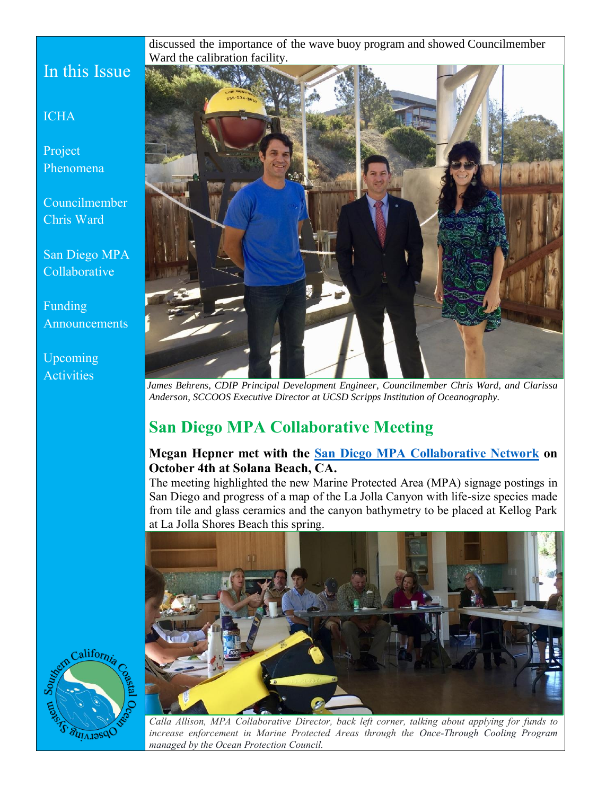discussed the importance of the wave buoy program and showed Councilmember Ward the calibration facility.

# In this Issue

#### **[ICHA](#page-0-0)**

[Project](#page-1-0)  [Phenomena](#page-1-0)

[Councilmember](#page-1-1)  [Chris Ward](#page-1-1)

[San Diego MPA](#page-2-0)  [Collaborative](#page-2-0)

[Funding](#page-3-0)  **[Announcements](#page-3-0)** 

#### [Upcoming](#page-3-1)  **[Activities](#page-3-1)**



*James Behrens, CDIP Principal Development Engineer, Councilmember Chris Ward, and Clarissa Anderson, SCCOOS Executive Director at UCSD Scripps Institution of Oceanography.* 

# <span id="page-2-0"></span>**San Diego MPA Collaborative Meeting**

#### **Megan Hepner met with the [San Diego MPA Collaborative Network](http://www.mpacollaborative.org/sandiego/) on October 4th at Solana Beach, CA.**

The meeting highlighted the new Marine Protected Area (MPA) signage postings in San Diego and progress of a map of the La Jolla Canyon with life-size species made from tile and glass ceramics and the canyon bathymetry to be placed at Kellog Park at La Jolla Shores Beach this spring.





*Calla Allison, MPA Collaborative Director, back left corner, talking about applying for funds to increase enforcement in Marine Protected Areas through the Once-Through Cooling Program managed by the Ocean Protection Council.*